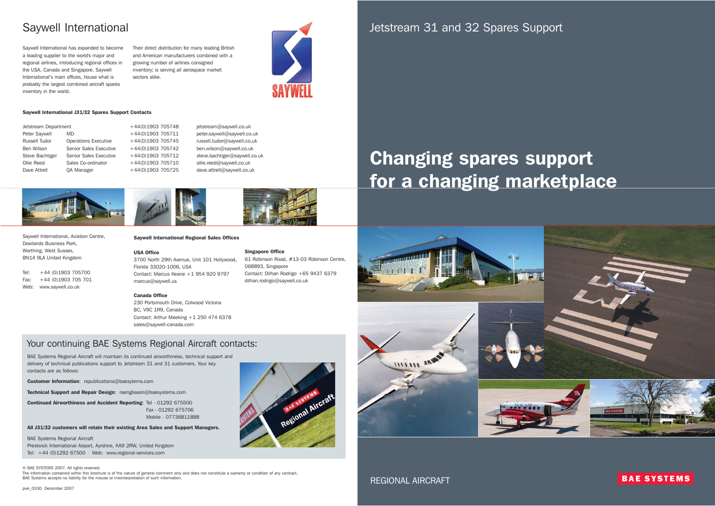Jetstream 31 and 32 Spares Support

# Changing spares support for a changing marketplace



REGIONAL AIRCRAFT

**BAE SYSTEMS**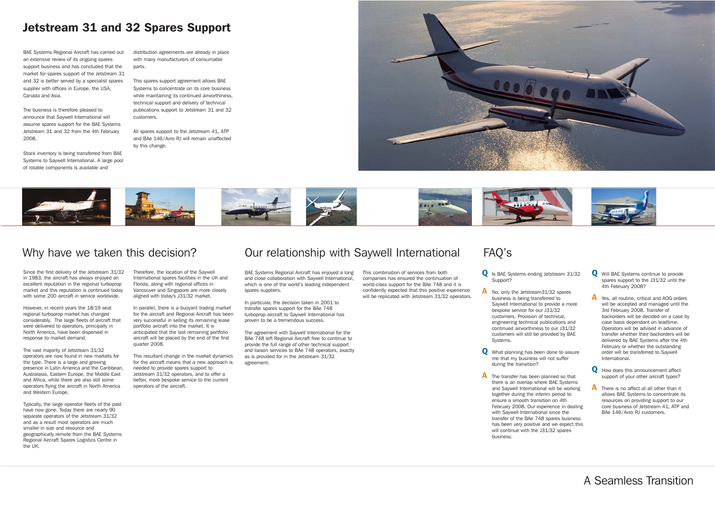### Jetstream 31 and 32 Spares Support

## A Seamless Transition

Since the first delivery of the Jetstream 31/32 in 1983, the aircraft has always enjoyed an excellent reputation in the regional turboprop market and this reputation is continued today with some 200 aircraft in service worldwide.

However, in recent years the 18/19 seat regional turboprop market has changed considerably. The large fleets of aircraft that were delivered to operators, principally in North America, have been dispersed in response to market demand.

The vast majority of Jetstream 31/32 operators are now found in new markets for the type. There is a large and growing presence in Latin America and the Caribbean, Australasia, Eastern Europe, the Middle East and Africa, while there are also still some operators flying the aircraft in North America and Western Europe.

Typically, the large operator fleets of the past have now gone. Today there are nearly 90 separate operators of the Jetstream 31/32 and as a result most operators are much smaller in size and resource and geographically remote from the BAE Systems Regional Aircraft Spares Logistics Centre in the UK.

Therefore, the location of the Saywell International spares facilities in the UK and Florida, along with regional offices in Vancouver and Singapore are more closely aligned with today's J31/32 market.

In parallel, there is a buoyant trading market for the aircraft and Regional Aircraft has been very successful in selling its remaining lease portfolio aircraft into the market. It is anticipated that the last remaining portfolio aircraft will be placed by the end of the first quarter 2008.

This combination of services from both companies has ensured the continuation of world-class support for the BAe 748 and it is confidently expected that this positive experience will be replicated with Jetstream 31/32 operators.

This resultant change in the market dynamics for the aircraft means that a new approach is needed to provide spares support to Jetstream 31/32 operators, and to offer a better, more bespoke service to the current operators of the aircraft.

### Why have we taken this decision? Our relationship with Saywell International FAQ's

BAE Systems Regional Aircraft has carried out an extensive review of its ongoing spares support business and has concluded that the market for spares support of the Jetstream 31 and 32 is better served by a specialist spares supplier with offices in Europe, the USA, Canada and Asia.

The business is therefore pleased to announce that Saywell International will assume spares support for the BAE Systems Jetstream 31 and 32 from the 4th February 2008.

Stock inventory is being transferred from BAE Systems to Saywell International. A large pool of rotable components is available and

distribution agreements are already in place with many manufacturers of consumable parts.

This spares support agreement allows BAE Systems to concentrate on its core business while maintaining its continued airworthiness. technical support and delivery of technical publications support to Jetstream 31 and 32 customers.

- **Q** Will BAE Systems continue to provide spares support to the J31/32 until the 4th February 2008?
- A Yes, all routine, critical and AOG orders will be accepted and managed until the 3rd February 2008. Transfer of backorders will be decided on a case by case basis dependant on leadtime. Operators will be advised in advance of transfer whether their backorders will be delivered by BAE Systems after the 4th February or whether the outstanding order will be transferred to Saywell International.
- **Q** How does this announcement affect support of your other aircraft types?
- **A** There is no affect at all other than it allows BAE Systems to concentrate its resources on providing support to our core business of Jetstream 41, ATP and BAe 146/Avro RJ customers.

All spares support to the Jetstream 41, ATP and BAe 146/Avro RJ will remain unaffected by this change.





BAE Systems Regional Aircraft has enjoyed a long and close collaboration with Saywell International, which is one of the world's leading independent spares suppliers.

In particular, the decision taken in 2001 to transfer spares support for the BAe 748 turboprop aircraft to Saywell International has proven to be a tremendous success.

The agreement with Saywell International for the BAe 748 left Regional Aircraft free to continue to provide the full range of other technical support and liaison services to BAe 748 operators, exactly as is provided for in the Jetstream 31/32 agreement.

- Q Is BAE Systems ending Jetstream 31/32 Support?
- A No, only the Jetstream31/32 spares business is being transferred to Saywell International to provide a more bespoke service for our J31/32 customers. Provision of technical, engineering technical publications and continued airworthiness to our J31/32 customers will still be provided by BAE Systems.
- **Q** What planning has been done to assure me that my business will not suffer during the transition?
- A The transfer has been planned so that there is an overlap where BAE Systems and Saywell International will be working together during the interim period to ensure a smooth transition on 4th February 2008. Our experience in dealing with Saywell International since the transfer of the BAe 748 spares business has been very positive and we expect this will continue with the J31/32 spares business.